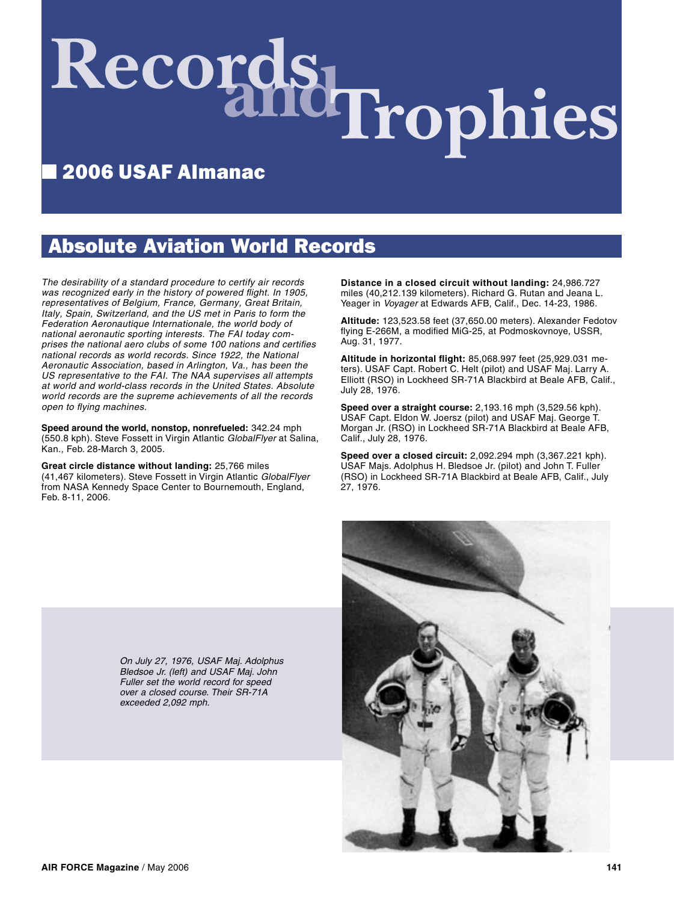# Records Irophies

# ■ 2006 USAF Almanac

## Absolute Aviation World Records

The desirability of a standard procedure to certify air records was recognized early in the history of powered flight. In 1905, representatives of Belgium, France, Germany, Great Britain, Italy, Spain, Switzerland, and the US met in Paris to form the Federation Aeronautique Internationale, the world body of national aeronautic sporting interests. The FAI today comprises the national aero clubs of some 100 nations and certifies national records as world records. Since 1922, the National Aeronautic Association, based in Arlington, Va., has been the US representative to the FAI. The NAA supervises all attempts at world and world-class records in the United States. Absolute world records are the supreme achievements of all the records open to flying machines.

**Speed around the world, nonstop, nonrefueled:** 342.24 mph (550.8 kph). Steve Fossett in Virgin Atlantic GlobalFlyer at Salina, Kan., Feb. 28-March 3, 2005.

**Great circle distance without landing:** 25,766 miles (41,467 kilometers). Steve Fossett in Virgin Atlantic GlobalFlyer from NASA Kennedy Space Center to Bournemouth, England, Feb. 8-11, 2006.

**Distance in a closed circuit without landing:** 24,986.727 miles (40,212.139 kilometers). Richard G. Rutan and Jeana L. Yeager in Voyager at Edwards AFB, Calif., Dec. 14-23, 1986.

**Altitude:** 123,523.58 feet (37,650.00 meters). Alexander Fedotov flying E-266M, a modified MiG-25, at Podmoskovnoye, USSR, Aug. 31, 1977.

**Altitude in horizontal flight:** 85,068.997 feet (25,929.031 meters). USAF Capt. Robert C. Helt (pilot) and USAF Maj. Larry A. Elliott (RSO) in Lockheed SR-71A Blackbird at Beale AFB, Calif., July 28, 1976.

**Speed over a straight course:** 2,193.16 mph (3,529.56 kph). USAF Capt. Eldon W. Joersz (pilot) and USAF Maj. George T. Morgan Jr. (RSO) in Lockheed SR-71A Blackbird at Beale AFB, Calif., July 28, 1976.

**Speed over a closed circuit:** 2,092.294 mph (3,367.221 kph). USAF Majs. Adolphus H. Bledsoe Jr. (pilot) and John T. Fuller (RSO) in Lockheed SR-71A Blackbird at Beale AFB, Calif., July 27, 1976.



On July 27, 1976, USAF Maj. Adolphus Bledsoe Jr. (left) and USAF Maj. John Fuller set the world record for speed over a closed course. Their SR-71A exceeded 2,092 mph.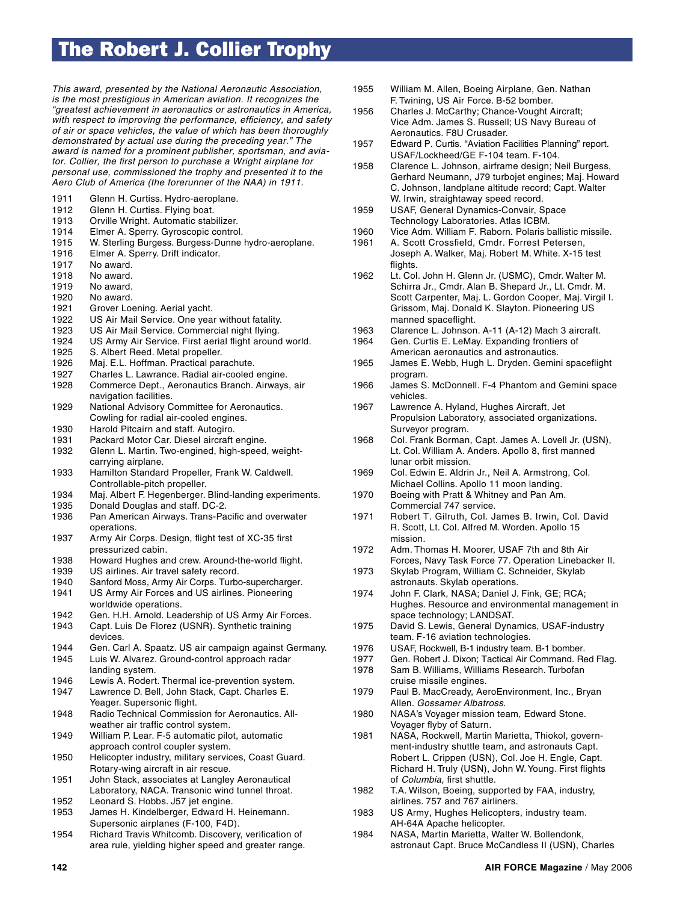# The Robert J. Collier Trophy

This award, presented by the National Aeronautic Association, is the most prestigious in American aviation. It recognizes the "greatest achievement in aeronautics or astronautics in America, with respect to improving the performance, efficiency, and safety of air or space vehicles, the value of which has been thoroughly demonstrated by actual use during the preceding year." The award is named for a prominent publisher, sportsman, and aviator. Collier, the first person to purchase a Wright airplane for personal use, commissioned the trophy and presented it to the Aero Club of America (the forerunner of the NAA) in 1911.

- 1911 Glenn H. Curtiss. Hydro-aeroplane.
- 1912 Glenn H. Curtiss. Flying boat.<br>1913 Orville Wright. Automatic stab
- Orville Wright. Automatic stabilizer.
- 1914 Elmer A. Sperry. Gyroscopic control.
- 1915 W. Sterling Burgess. Burgess-Dunne hydro-aeroplane.<br>1916 Elmer A. Sperry. Drift indicator.
- Elmer A. Sperry. Drift indicator.
- 1917 No award.
- 1918 No award.
- 1919 No award.
- 1920 No award.
- 1921 Grover Loening. Aerial yacht.
- 1922 US Air Mail Service. One year without fatality.
- 1923 US Air Mail Service. Commercial night flying.
- 1924 US Army Air Service. First aerial flight around world.
- 1925 S. Albert Reed. Metal propeller.
- 1926 Maj. E.L. Hoffman. Practical parachute.
- 1927 Charles L. Lawrance. Radial air-cooled engine.
- 1928 Commerce Dept., Aeronautics Branch. Airways, air navigation facilities.
- 1929 National Advisory Committee for Aeronautics. Cowling for radial air-cooled engines.
- 1930 Harold Pitcairn and staff. Autogiro.
- 1931 Packard Motor Car. Diesel aircraft engine.
- 1932 Glenn L. Martin. Two-engined, high-speed, weight carrying airplane.
- 1933 Hamilton Standard Propeller, Frank W. Caldwell. Controllable-pitch propeller.
- 1934 Maj. Albert F. Hegenberger. Blind-landing experiments.
- 1935 Donald Douglas and staff. DC-2.
- 1936 Pan American Airways. Trans-Pacific and overwater operations.
- 1937 Army Air Corps. Design, flight test of XC-35 first pressurized cabin.<br>1938 Howard Hughes ar
- Howard Hughes and crew. Around-the-world flight.
- 1939 US airlines. Air travel safety record.
- 1940 Sanford Moss, Army Air Corps. Turbo-supercharger.
- 1941 US Army Air Forces and US airlines. Pioneering worldwide operations.
- 1942 Gen. H.H. Arnold. Leadership of US Army Air Forces.
- 1943 Capt. Luis De Florez (USNR). Synthetic training devices.<br>1944 Gen. Ca
- Gen. Carl A. Spaatz. US air campaign against Germany.
- 1945 Luis W. Alvarez. Ground-control approach radar landing system.
- 1946 Lewis A. Rodert. Thermal ice-prevention system.
- 1947 Lawrence D. Bell, John Stack, Capt. Charles E. Yeager. Supersonic flight.
- 1948 Radio Technical Commission for Aeronautics. All weather air traffic control system.
- 1949 William P. Lear. F-5 automatic pilot, automatic approach control coupler system.
- 1950 Helicopter industry, military services, Coast Guard. Rotary-wing aircraft in air rescue.
- 1951 John Stack, associates at Langley Aeronautical Laboratory, NACA. Transonic wind tunnel throat.
- 1952 Leonard S. Hobbs. J57 jet engine.
- 1953 James H. Kindelberger, Edward H. Heinemann. Supersonic airplanes (F-100, F4D).
- 1954 Richard Travis Whitcomb. Discovery, verification of area rule, yielding higher speed and greater range.
- 1955 William M. Allen, Boeing Airplane, Gen. Nathan F. Twining, US Air Force. B-52 bomber.
- 1956 Charles J. McCarthy; Chance-Vought Aircraft; Vice Adm. James S. Russell; US Navy Bureau of Aeronautics. F8U Crusader.
- 1957 Edward P. Curtis. "Aviation Facilities Planning" report. USAF/Lockheed/GE F-104 team. F-104.
- 1958 Clarence L. Johnson, airframe design; Neil Burgess, Gerhard Neumann, J79 turbojet engines; Maj. Howard C. Johnson, landplane altitude record; Capt. Walter W. Irwin, straightaway speed record.
- 1959 USAF, General Dynamics-Convair, Space Technology Laboratories. Atlas ICBM.<br>1960 Vice Adm. William F. Raborn. Polaris b
- Vice Adm. William F. Raborn. Polaris ballistic missile.
- 1961 A. Scott Crossfield, Cmdr. Forrest Petersen, Joseph A. Walker, Maj. Robert M. White. X-15 test flights.<br>1962 Lt. Col
- Lt. Col. John H. Glenn Jr. (USMC), Cmdr. Walter M. Schirra Jr., Cmdr. Alan B. Shepard Jr., Lt. Cmdr. M. Scott Carpenter, Maj. L. Gordon Cooper, Maj. Virgil I. Grissom, Maj. Donald K. Slayton. Pioneering US manned spaceflight.
- 1963 Clarence L. Johnson. A-11 (A-12) Mach 3 aircraft.<br>1964 Gen. Curtis E. LeMay. Expanding frontiers of
- Gen. Curtis E. LeMay. Expanding frontiers of American aeronautics and astronautics.
- 1965 James E. Webb, Hugh L. Dryden. Gemini spaceflight program.
- 1966 James S. McDonnell. F-4 Phantom and Gemini space vehicles.
- 1967 Lawrence A. Hyland, Hughes Aircraft, Jet Propulsion Laboratory, associated organizations. Surveyor program.
- 1968 Col. Frank Borman, Capt. James A. Lovell Jr. (USN), Lt. Col. William A. Anders. Apollo 8, first manned lunar orbit mission.
- 1969 Col. Edwin E. Aldrin Jr., Neil A. Armstrong, Col. Michael Collins. Apollo 11 moon landing.
- 1970 Boeing with Pratt & Whitney and Pan Am. Commercial 747 service.
- 1971 Robert T. Gilruth, Col. James B. Irwin, Col. David R. Scott, Lt. Col. Alfred M. Worden. Apollo 15 mission.
- 1972 Adm. Thomas H. Moorer, USAF 7th and 8th Air Forces, Navy Task Force 77. Operation Linebacker II.
- 1973 Skylab Program, William C. Schneider, Skylab astronauts. Skylab operations.
- 1974 John F. Clark, NASA; Daniel J. Fink, GE; RCA; Hughes. Resource and environmental management in space technology; LANDSAT.
- 1975 David S. Lewis, General Dynamics, USAF-industry team. F-16 aviation technologies.<br>1976 USAF. Rockwell. B-1 industry team
- USAF, Rockwell, B-1 industry team. B-1 bomber.
- 1977 Gen. Robert J. Dixon; Tactical Air Command. Red Flag.
- 1978 Sam B. Williams, Williams Research. Turbofan cruise missile engines.
- 1979 Paul B. MacCready, AeroEnvironment, Inc., Bryan Allen. Gossamer Albatross.
- 1980 NASA's Voyager mission team, Edward Stone. Voyager flyby of Saturn.<br>1981 NASA, Rockwell, Martin
- NASA, Rockwell, Martin Marietta, Thiokol, govern ment-industry shuttle team, and astronauts Capt. Robert L. Crippen (USN), Col. Joe H. Engle, Capt. Richard H. Truly (USN), John W. Young. First flights of Columbia, first shuttle.
- 1982 T.A. Wilson, Boeing, supported by FAA, industry, airlines. 757 and 767 airliners.
- 1983 US Army, Hughes Helicopters, industry team. AH-64A Apache helicopter.
- 1984 NASA, Martin Marietta, Walter W. Bollendonk, astronaut Capt. Bruce McCandless II (USN), Charles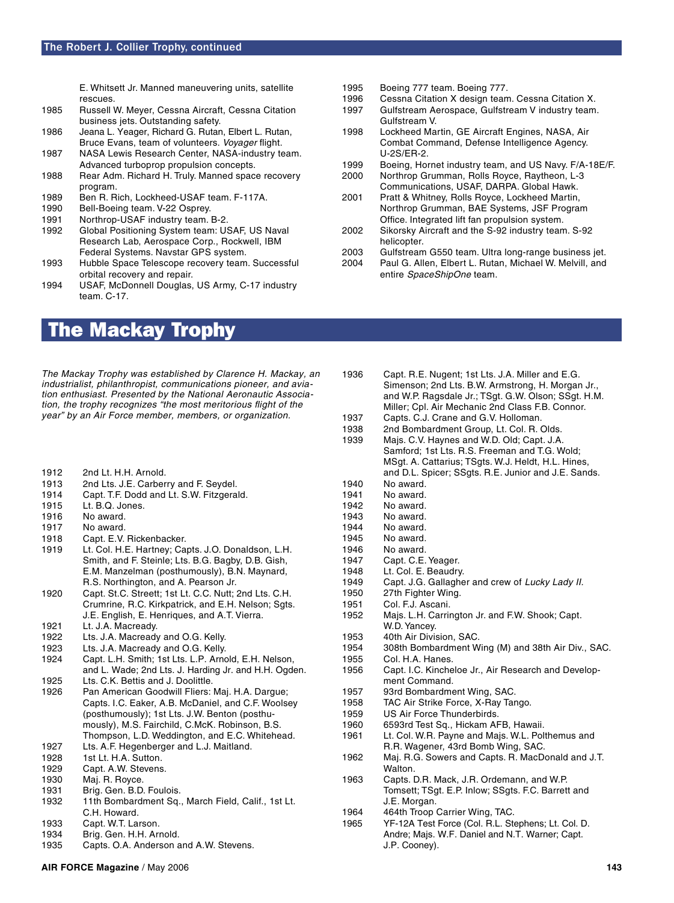E. Whitsett Jr. Manned maneuvering units, satellite

- rescues. Russell W. Meyer, Cessna Aircraft, Cessna Citation business jets. Outstanding safety.
- 1986 Jeana L. Yeager, Richard G. Rutan, Elbert L. Rutan, Bruce Evans, team of volunteers. Voyager flight.
- 1987 NASA Lewis Research Center, NASA-industry team. Advanced turboprop propulsion concepts.
- 1988 Rear Adm. Richard H. Truly. Manned space recovery program.
- 1989 Ben R. Rich, Lockheed-USAF team. F-117A.
- 1990 Bell-Boeing team. V-22 Osprey.
- 1991 Northrop-USAF industry team. B-2.
- 1992 Global Positioning System team: USAF, US Naval Research Lab, Aerospace Corp., Rockwell, IBM Federal Systems. Navstar GPS system.
- 1993 Hubble Space Telescope recovery team. Successful orbital recovery and repair.
- 1994 USAF, McDonnell Douglas, US Army, C-17 industry team. C-17.

### The Mackay Trophy

- The Mackay Trophy was established by Clarence H. Mackay, an industrialist, philanthropist, communications pioneer, and aviation enthusiast. Presented by the National Aeronautic Association, the trophy recognizes "the most meritorious flight of the year" by an Air Force member, members, or organization.
- 1912 2nd Lt. H.H. Arnold.
- 1913 2nd Lts. J.E. Carberry and F. Seydel.
- 1914 Capt. T.F. Dodd and Lt. S.W. Fitzgerald.
- 1915 Lt. B.Q. Jones.
- 1916 No award.
- 1917 No award.
- 1918 Capt. E.V. Rickenbacker.
- 1919 Lt. Col. H.E. Hartney; Capts. J.O. Donaldson, L.H. Smith, and F. Steinle; Lts. B.G. Bagby, D.B. Gish, E.M. Manzelman (posthumously), B.N. Maynard, R.S. Northington, and A. Pearson Jr.
- 1920 Capt. St.C. Streett; 1st Lt. C.C. Nutt; 2nd Lts. C.H. Crumrine, R.C. Kirkpatrick, and E.H. Nelson; Sgts. J.E. English, E. Henriques, and A.T. Vierra.
- 1921 Lt. J.A. Macready.
- 1922 Lts. J.A. Macready and O.G. Kelly.
- 1923 Lts. J.A. Macready and O.G. Kelly.
- 1924 Capt. L.H. Smith; 1st Lts. L.P. Arnold, E.H. Nelson, and L. Wade; 2nd Lts. J. Harding Jr. and H.H. Ogden. 1925 Lts. C.K. Bettis and J. Doolittle.
- 1926 Pan American Goodwill Fliers: Maj. H.A. Dargue; Capts. I.C. Eaker, A.B. McDaniel, and C.F. Woolsey (posthumously); 1st Lts. J.W. Benton (posthu mously), M.S. Fairchild, C.McK. Robinson, B.S.
- Thompson, L.D. Weddington, and E.C. Whitehead. 1927 Lts. A.F. Hegenberger and L.J. Maitland.
- 1928 1st Lt. H.A. Sutton.
- 1929 Capt. A.W. Stevens.
- 1930 Maj. R. Royce.
- 1931 Brig. Gen. B.D. Foulois.
- 1932 11th Bombardment Sq., March Field, Calif., 1st Lt. C.H. Howard.
- 1933 Capt. W.T. Larson.
- 1934 Brig. Gen. H.H. Arnold.
- 1935 Capts. O.A. Anderson and A.W. Stevens.
- 1995 Boeing 777 team. Boeing 777.
- 1996 Cessna Citation X design team. Cessna Citation X.<br>1997 Gulfstream Aerospace. Gulfstream V industry team
- Gulfstream Aerospace, Gulfstream V industry team. Gulfstream V.
- 1998 Lockheed Martin, GE Aircraft Engines, NASA, Air Combat Command, Defense Intelligence Agency. U-2S/ER-2.
- 1999 Boeing, Hornet industry team, and US Navy. F/A-18E/F.
- 2000 Northrop Grumman, Rolls Royce, Raytheon, L-3 Communications, USAF, DARPA. Global Hawk.
- 2001 Pratt & Whitney, Rolls Royce, Lockheed Martin, Northrop Grumman, BAE Systems, JSF Program Office. Integrated lift fan propulsion system.
- 2002 Sikorsky Aircraft and the S-92 industry team. S-92 helicopter.
- 2003 Gulfstream G550 team. Ultra long-range business jet.
- 2004 Paul G. Allen, Elbert L. Rutan, Michael W. Melvill, and entire SpaceShipOne team.
- 1936 Capt. R.E. Nugent; 1st Lts. J.A. Miller and E.G. Simenson; 2nd Lts. B.W. Armstrong, H. Morgan Jr., and W.P. Ragsdale Jr.; TSgt. G.W. Olson; SSgt. H.M. Miller; Cpl. Air Mechanic 2nd Class F.B. Connor. 1937 Capts. C.J. Crane and G.V. Holloman. 1938 2nd Bombardment Group, Lt. Col. R. Olds.<br>1939 Mais. C.V. Havnes and W.D. Old: Capt. J.A. Majs. C.V. Haynes and W.D. Old; Capt. J.A. Samford; 1st Lts. R.S. Freeman and T.G. Wold; MSgt. A. Cattarius; TSgts. W.J. Heldt, H.L. Hines, and D.L. Spicer; SSgts. R.E. Junior and J.E. Sands. 1940 No award. 1941 No award. 1942 No award. 1943 No award.<br>1944 No award. No award. 1945 No award. 1946 No award.<br>1947 Capt. C.E. Capt. C.E. Yeager. 1948 Lt. Col. E. Beaudry. 1949 Capt. J.G. Gallagher and crew of Lucky Lady II. 1950 27th Fighter Wing. 1951 Col. F.J. Ascani.<br>1952 Mais. L.H. Carrir Majs. L.H. Carrington Jr. and F.W. Shook; Capt. W.D. Yancey.<br>1953 40th Air Divis 1953 40th Air Division, SAC.<br>1954 308th Bombardment W 1954 308th Bombardment Wing (M) and 38th Air Div., SAC. 1955 Col. H.A. Hanes. 1956 Capt. I.C. Kincheloe Jr., Air Research and Develop ment Command. 1957 93rd Bombardment Wing, SAC. 1958 TAC Air Strike Force, X-Ray Tango. 1959 US Air Force Thunderbirds. 1960 6593rd Test Sq., Hickam AFB, Hawaii. 1961 Lt. Col. W.R. Payne and Majs. W.L. Polthemus and R.R. Wagener, 43rd Bomb Wing, SAC. 1962 Maj. R.G. Sowers and Capts. R. MacDonald and J.T. **Walton** 1963 Capts. D.R. Mack, J.R. Ordemann, and W.P. Tomsett; TSgt. E.P. Inlow; SSgts. F.C. Barrett and J.E. Morgan. 1964 464th Troop Carrier Wing, TAC. 1965 YF-12A Test Force (Col. R.L. Stephens; Lt. Col. D.

Andre; Majs. W.F. Daniel and N.T. Warner; Capt.

J.P. Cooney).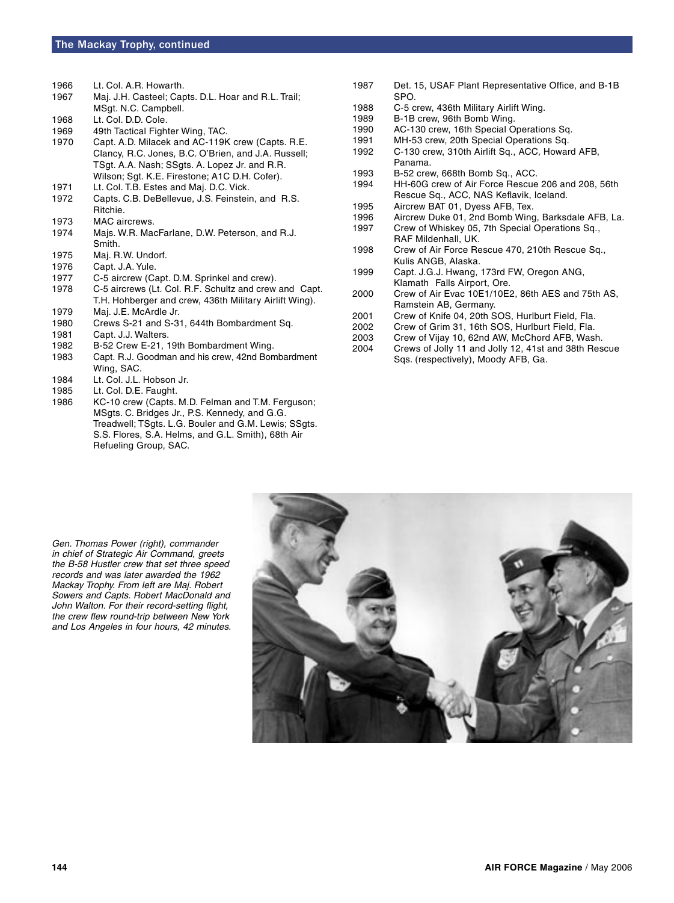1966 Lt. Col. A.R. Howarth.

| 1967 | Maj. J.H. Casteel; Capts. D.L. Hoar and R.L. Trail; |
|------|-----------------------------------------------------|
|      | MSgt. N.C. Campbell.                                |

- 1968 Lt. Col. D.D. Cole.
- 1969 49th Tactical Fighter Wing, TAC.
- 1970 Capt. A.D. Milacek and AC-119K crew (Capts. R.E. Clancy, R.C. Jones, B.C. O'Brien, and J.A. Russell; TSgt. A.A. Nash; SSgts. A. Lopez Jr. and R.R. Wilson; Sgt. K.E. Firestone; A1C D.H. Cofer).
- 1971 Lt. Col. T.B. Estes and Maj. D.C. Vick.
- 1972 Capts. C.B. DeBellevue, J.S. Feinstein, and R.S. Ritchie.
- 1973 MAC aircrews.
- 1974 Majs. W.R. MacFarlane, D.W. Peterson, and R.J. Smith.
- 1975 Maj. R.W. Undorf.
- 1976 Capt. J.A. Yule.<br>1977 C-5 aircrew (Ca
- 1977 C-5 aircrew (Capt. D.M. Sprinkel and crew).<br>1978 C-5 aircrews (Lt. Col. R.F. Schultz and crew
- C-5 aircrews (Lt. Col. R.F. Schultz and crew and Capt. T.H. Hohberger and crew, 436th Military Airlift Wing).<br>1979 Mai J.E. MoArdle Jr
- Maj. J.E. McArdle Jr.
- 1980 Crews S-21 and S-31, 644th Bombardment Sq.
- 1981 Capt. J.J. Walters.
- 1982 B-52 Crew E-21, 19th Bombardment Wing.
- 1983 Capt. R.J. Goodman and his crew, 42nd Bombardment Wing, SAC.
- 1984 Lt. Col. J.L. Hobson Jr.
- 1985 Lt. Col. D.E. Faught.
- 1986 KC-10 crew (Capts. M.D. Felman and T.M. Ferguson; MSgts. C. Bridges Jr., P.S. Kennedy, and G.G. Treadwell; TSgts. L.G. Bouler and G.M. Lewis; SSgts. S.S. Flores, S.A. Helms, and G.L. Smith), 68th Air Refueling Group, SAC.
- 1987 Det. 15, USAF Plant Representative Office, and B-1B SPO.
- 1988 C-5 crew, 436th Military Airlift Wing.<br>1989 B-1B crew, 96th Bomb Wing.
- B-1B crew, 96th Bomb Wing.
- 1990 AC-130 crew, 16th Special Operations Sq.
- 1991 MH-53 crew, 20th Special Operations Sq.<br>1992 C-130 crew. 310th Airlift Sq., ACC, Howar
- C-130 crew, 310th Airlift Sq., ACC, Howard AFB, Panama.<br>1993 B-52 crea
- 1993 B-52 crew, 668th Bomb Sq., ACC.<br>1994 HH-60G crew of Air Force Rescue
- HH-60G crew of Air Force Rescue 206 and 208, 56th Rescue Sq., ACC, NAS Keflavik, Iceland.<br>1995 – Aircrew BAT 01, Dyess AFB, Tex
- 1995 Aircrew BAT 01, Dyess AFB, Tex.<br>1996 Aircrew Duke 01, 2nd Bomb Winc
- Aircrew Duke 01, 2nd Bomb Wing, Barksdale AFB, La.
- 1997 Crew of Whiskey 05, 7th Special Operations Sq., RAF Mildenhall, UK.<br>1998 Crew of Air Force Re
- Crew of Air Force Rescue 470, 210th Rescue Sq., Kulis ANGB, Alaska.<br>1999 Capt. J.G.J. Hwang.
- Capt. J.G.J. Hwang, 173rd FW, Oregon ANG, Klamath Falls Airport, Ore.<br>:2000 Crew of Air Evac 10E1/10E
- Crew of Air Evac 10E1/10E2, 86th AES and 75th AS, Ramstein AB, Germany.
- 2001 Crew of Knife 04, 20th SOS, Hurlburt Field, Fla.
- 2002 Crew of Grim 31, 16th SOS, Hurlburt Field, Fla.
- Crew of Vijay 10, 62nd AW, McChord AFB, Wash.
- 2004 Crews of Jolly 11 and Jolly 12, 41st and 38th Rescue Sqs. (respectively), Moody AFB, Ga.

Gen. Thomas Power (right), commander in chief of Strategic Air Command, greets the B-58 Hustler crew that set three speed records and was later awarded the 1962 Mackay Trophy. From left are Maj. Robert Sowers and Capts. Robert MacDonald and John Walton. For their record-setting flight, the crew flew round-trip between New York and Los Angeles in four hours, 42 minutes.